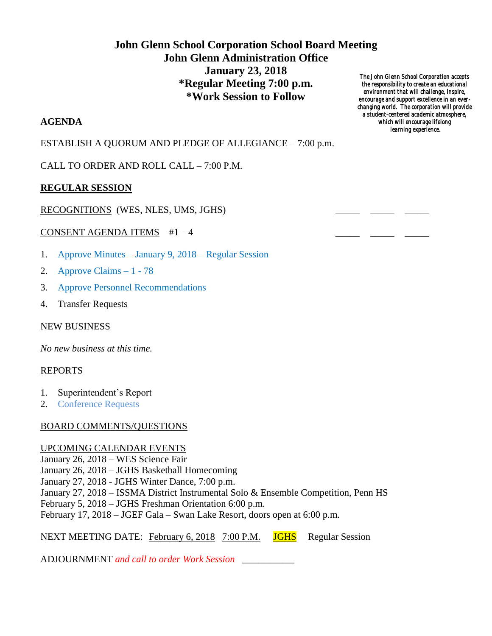# **John Glenn School Corporation School Board Meeting John Glenn Administration Office January 23, 2018 \*Regular Meeting 7:00 p.m. \*Work Session to Follow**

### **AGENDA**

ESTABLISH A QUORUM AND PLEDGE OF ALLEGIANCE – 7:00 p.m.

CALL TO ORDER AND ROLL CALL – 7:00 P.M.

## **REGULAR SESSION**

#### RECOGNITIONS (WES, NLES, UMS, JGHS)

#### CONSENT AGENDA ITEMS  $#1-4$

- 1. Approve Minutes January 9, 2018 Regular Session
- 2. Approve Claims 1 78
- 3. Approve Personnel Recommendations
- 4. Transfer Requests

#### NEW BUSINESS

*No new business at this time.*

#### REPORTS

- 1. Superintendent's Report
- 2. Conference Requests

#### BOARD COMMENTS/QUESTIONS

#### UPCOMING CALENDAR EVENTS

January 26, 2018 – WES Science Fair January 26, 2018 – JGHS Basketball Homecoming January 27, 2018 - JGHS Winter Dance, 7:00 p.m. January 27, 2018 – ISSMA District Instrumental Solo & Ensemble Competition, Penn HS February 5, 2018 – JGHS Freshman Orientation 6:00 p.m. February 17, 2018 – JGEF Gala – Swan Lake Resort, doors open at 6:00 p.m.

NEXT MEETING DATE: February 6, 2018 7:00 P.M. JGHS Regular Session

ADJOURNMENT *and call to order Work Session* \_\_\_\_\_\_\_\_\_\_\_\_\_

*The John Glenn School Corporation accepts the responsibility to create an educational environment that will challenge, inspire, encourage and support excellence in an everchanging world. The corporation will provide a student-centered academic atmosphere, which will encourage lifelong learning experience.*